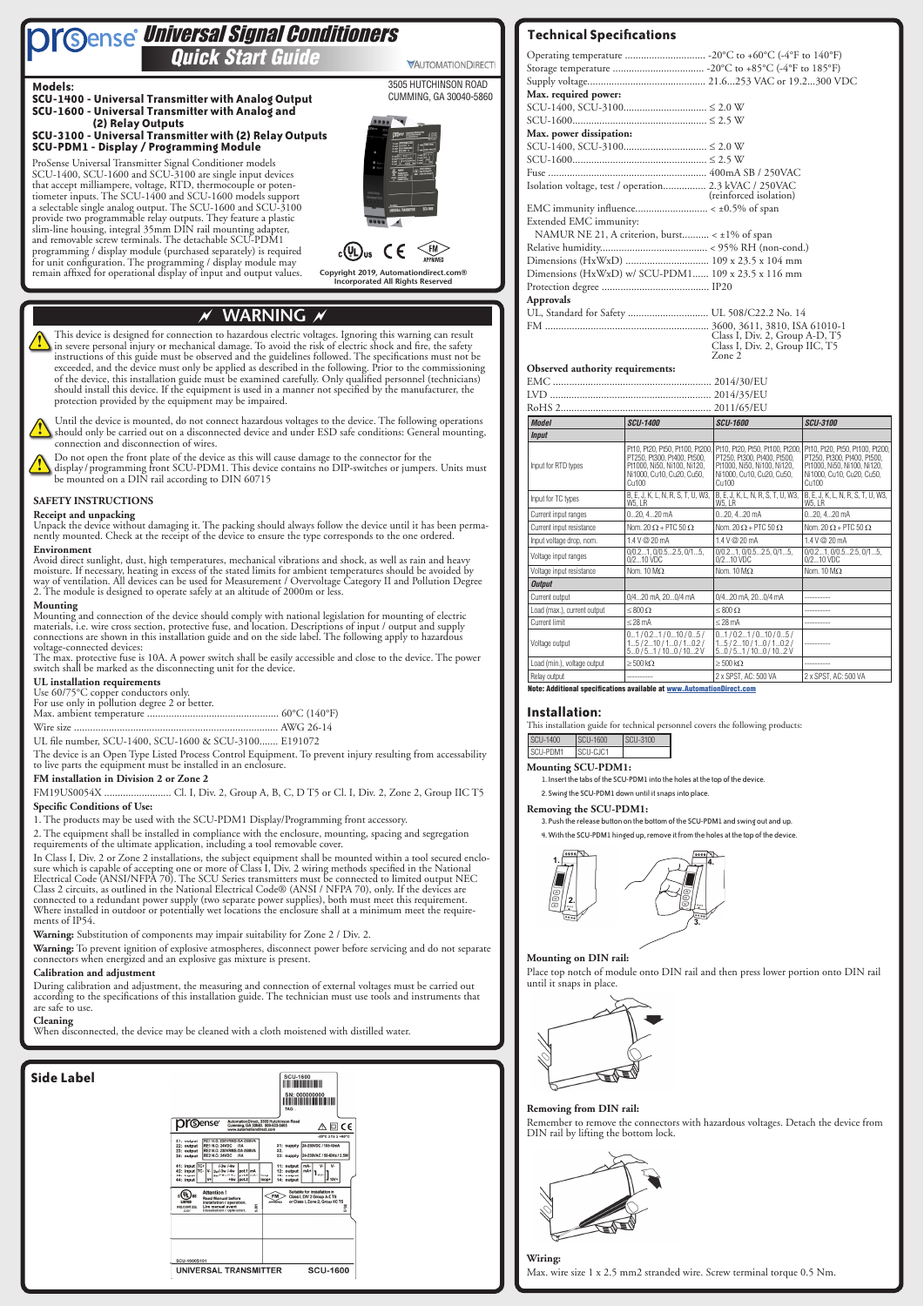# ~ **WARNING** ~

This device is designed for connection to hazardous electric voltages. Ignoring this warning can result in severe personal injury or mechanical damage. To avoid the risk of electric shock and fire, the safety instructions of this guide must be observed and the guidelines followed. The specifications must not be exceeded, and the device must only be applied as described in the following. Prior to the commissioning of the device, this installation guide must be examined carefully. Only qualified personnel (technicians) should install this device. If the equipment is used in a manner not specified by the manufacturer, the protection provided by the equipment may be impaired.

Do not open the front plate of the device as this will cause damage to the connector for the  $\bigcup$  display / programming front SCU-PDM1. This device contains no DIP-switches or jumpers. Units must be mounted on a DIN rail according to DIN 60715

Until the device is mounted, do not connect hazardous voltages to the device. The following operations should only be carried out on a disconnected device and under ESD safe conditions: General mounting, connection and disconnection of wires.

#### **SAFETY INSTRUCTIONS**

**Receipt and unpacking**<br>Unpack the device without damaging it. The packing should always follow the device until it has been permanently mounted. Check at the receipt of the device to ensure the type corresponds to the one ordered.

#### **Environment**

Avoid direct sunlight, dust, high temperatures, mechanical vibrations and shock, as well as rain and heavy moisture. If necessary, heating in excess of the stated limits for ambient temperatures should be avoided by way of ventilation. All devices can be used for Measurement / Overvoltage Category II and Pollution Degree 2. The module is designed to operate safely at an altitude of 2000m or less.

#### **Mounting**

Mounting and connection of the device should comply with national legislation for mounting of electric materials, i.e. wire cross section, protective fuse, and location. Descriptions of input / output and supply connections are shown in this installation guide and on the side label. The following apply to hazardous voltage-connected devices:

The max. protective fuse is 10A. A power switch shall be easily accessible and close to the device. The power switch shall be marked as the disconnecting unit for the device.

# *Quick Start Guide Quick Start Guide* **Sense** Universal Signal Conditioners

VAUTOMATIONDIRECT

#### **UL installation requirements**

Use 60/75°C copper conductors only.

For use only in pollution degree 2 or better.

UL file number, SCU-1400, SCU-1600 & SCU-3100....... E191072

The device is an Open Type Listed Process Control Equipment. To prevent injury resulting from accessability to live parts the equipment must be installed in an enclosure.

#### **FM installation in Division 2 or Zone 2**

FM19US0054X ......................... Cl. I, Div. 2, Group A, B, C, D T5 or Cl. I, Div. 2, Zone 2, Group IIC T5

#### **Specific Conditions of Use:**

1. The products may be used with the SCU-PDM1 Display/Programming front accessory.

2. The equipment shall be installed in compliance with the enclosure, mounting, spacing and segregation requirements of the ultimate application, including a tool removable cover.

In Class I, Div. 2 or Zone 2 installations, the subject equipment shall be mounted within a tool secured enclo- sure which is capable of accepting one or more of Class I, Div. 2 wiring methods specified in the National Electrical Code (ANSI/NFPA 70). The SCU Series transmitters must be connected to limited output NEC Class 2 circuits, as outlined in the National Electrical Code® (ANSI / NFPA 70), only. If the devices are connected to a redundant power supply (two separate power supplies), both must meet this requirement. Where installed in outdoor or potentially wet locations the enclosure shall at a minimum meet the require- ments of IP54.

#### **Warning:** Substitution of components may impair suitability for Zone 2 / Div. 2.

**Warning:** To prevent ignition of explosive atmospheres, disconnect power before servicing and do not separate connectors when energized and an explosive gas mixture is present.

#### **Calibration and adjustment**

During calibration and adjustment, the measuring and connection of external voltages must be carried out according to the specifications of this installation guide. The technician must use tools and instruments that are safe to use.

#### **Cleaning**

When disconnected, the device may be cleaned with a cloth moistened with distilled water.

#### **Dr**©ense® AutomationDirec<br>Cumming, GA 300  $\mathbb{A} \boxdot \mathsf{C} \mathsf{C}$ supply AC / 50-6)Hz / 2.5 outpu<br>outpu<br>outpu<br>outpu  $\epsilon$ (D) us  $F_M$ SCU-1600S10 UNIVERSAL TRANSMITTER **SCU-1600**



## **Technical Specifications**

**Copyright 2019, Automationdirect.com® Incorporated All Rights Reserved**

3505 HUTCHINSON ROAD CUMMING, GA 30040-5860

ProSense Universal Transmitter Signal Conditioner models SCU-1400, SCU-1600 and SCU-3100 are single input devices that accept milliampere, voltage, RTD, thermocouple or potentiometer inputs. The SCU-1400 and SCU-1600 models support a selectable single analog output. The SCU-1600 and SCU-3100 provide two programmable relay outputs. They feature a plastic slim-line housing, integral 35mm DIN rail mounting adapter, and removable screw terminals. The detachable SCU-PDM1 programming / display module (purchased separately) is required for unit configuration. The programming / display module may remain affixed for operational display of input and output values.





**Models:**

#### **SCU-1400 - Universal Transmitter with Analog Output SCU-1600 - Universal Transmitter with Analog and**

#### **(2) Relay Outputs SCU-3100 - Universal Transmitter with (2) Relay Outputs SCU-PDM1 - Display / Programming Module**

|                                  | Operating temperature  -20°C to +60°C (-4°F to 140°F)                                            |                                                                                                                                                                       |                                                                                                                                     |  |
|----------------------------------|--------------------------------------------------------------------------------------------------|-----------------------------------------------------------------------------------------------------------------------------------------------------------------------|-------------------------------------------------------------------------------------------------------------------------------------|--|
|                                  |                                                                                                  |                                                                                                                                                                       |                                                                                                                                     |  |
|                                  |                                                                                                  |                                                                                                                                                                       |                                                                                                                                     |  |
| Max. required power:             |                                                                                                  |                                                                                                                                                                       |                                                                                                                                     |  |
|                                  |                                                                                                  |                                                                                                                                                                       |                                                                                                                                     |  |
|                                  |                                                                                                  |                                                                                                                                                                       |                                                                                                                                     |  |
| Max. power dissipation:          |                                                                                                  |                                                                                                                                                                       |                                                                                                                                     |  |
|                                  |                                                                                                  |                                                                                                                                                                       |                                                                                                                                     |  |
|                                  |                                                                                                  |                                                                                                                                                                       |                                                                                                                                     |  |
|                                  |                                                                                                  |                                                                                                                                                                       |                                                                                                                                     |  |
|                                  | Isolation voltage, test / operation 2.3 kVAC / 250VAC                                            | (reinforced isolation)                                                                                                                                                |                                                                                                                                     |  |
|                                  |                                                                                                  |                                                                                                                                                                       |                                                                                                                                     |  |
| Extended EMC immunity:           |                                                                                                  |                                                                                                                                                                       |                                                                                                                                     |  |
|                                  | NAMUR NE 21, A criterion, burst < ±1% of span                                                    |                                                                                                                                                                       |                                                                                                                                     |  |
|                                  |                                                                                                  |                                                                                                                                                                       |                                                                                                                                     |  |
|                                  | Dimensions (HxWxD)  109 x 23.5 x 104 mm                                                          |                                                                                                                                                                       |                                                                                                                                     |  |
|                                  | Dimensions (HxWxD) w/ SCU-PDM1 109 x 23.5 x 116 mm                                               |                                                                                                                                                                       |                                                                                                                                     |  |
|                                  |                                                                                                  |                                                                                                                                                                       |                                                                                                                                     |  |
| <b>Approvals</b>                 |                                                                                                  |                                                                                                                                                                       |                                                                                                                                     |  |
|                                  | UL, Standard for Safety  UL 508/C22.2 No. 14                                                     |                                                                                                                                                                       |                                                                                                                                     |  |
|                                  |                                                                                                  |                                                                                                                                                                       |                                                                                                                                     |  |
|                                  |                                                                                                  | Class I, Div. 2, Group A-D, T5<br>Class I, Div. 2, Group IIC, T5                                                                                                      |                                                                                                                                     |  |
|                                  |                                                                                                  | Zone 2                                                                                                                                                                |                                                                                                                                     |  |
| Observed authority requirements: |                                                                                                  |                                                                                                                                                                       |                                                                                                                                     |  |
|                                  |                                                                                                  |                                                                                                                                                                       |                                                                                                                                     |  |
|                                  |                                                                                                  |                                                                                                                                                                       |                                                                                                                                     |  |
|                                  |                                                                                                  |                                                                                                                                                                       |                                                                                                                                     |  |
| <b>Model</b>                     | <b>SCU-1400</b>                                                                                  | <b>SCU-1600</b>                                                                                                                                                       | <b>SCU-3100</b>                                                                                                                     |  |
| <b>Input</b>                     |                                                                                                  |                                                                                                                                                                       |                                                                                                                                     |  |
| Input for RTD types              | PT250, Pt300, Pt400, Pt500,<br>Pt1000, Ni50, Ni100, Ni120,<br>Ni1000, Cu10, Cu20, Cu50,<br>Cu100 | Pt10, Pt20, Pt50, Pt100, Pt200, Pt10, Pt20, Pt50, Pt100, Pt200, I<br>PT250, Pt300, Pt400, Pt500,<br>Pt1000, Ni50, Ni100, Ni120,<br>Ni1000, Cu10, Cu20, Cu50,<br>Cu100 | Pt10, Pt20, Pt50, Pt100, Pt200,<br>PT250, Pt300, Pt400, Pt500,<br>Pt1000, Ni50, Ni100, Ni120,<br>Ni1000, Cu10, Cu20, Cu50,<br>Cu100 |  |
| Input for TC types               | B, E, J, K, L, N, R, S, T, U, W3,<br>W5, LR                                                      | B, E, J, K, L, N, R, S, T, U, W3,<br>W5, LR                                                                                                                           | B, E, J, K, L, N, R, S, T, U, W3,<br>W5, LR                                                                                         |  |
| Current input ranges             | 020, 420 mA                                                                                      | 020, 420 mA                                                                                                                                                           | 020, 420 mA                                                                                                                         |  |
| Current input resistance         | Nom. 20 $\Omega$ + PTC 50 $\Omega$                                                               | Nom. 20 $\Omega$ + PTC 50 $\Omega$                                                                                                                                    | Nom. 20 $\Omega$ + PTC 50 $\Omega$                                                                                                  |  |
| Input voltage drop, nom.         | 1.4 V @ 20 mA                                                                                    | 1.4 V @ 20 mA                                                                                                                                                         | 1.4 V @ 20 mA                                                                                                                       |  |
| Voltage input ranges             | 0/0.21, 0/0.52.5, 0/15,<br>0/210 VDC                                                             | 0/0.21, 0/0.52.5, 0/15,<br>0/210 VDC                                                                                                                                  | 0/0.21, 0/0.52.5, 0/15,<br>0/210 VDC                                                                                                |  |
| Voltage input resistance         | Nom. 10 $M\Omega$                                                                                | Nom. 10 $M\Omega$                                                                                                                                                     | Nom. 10 $M\Omega$                                                                                                                   |  |
| <b>Output</b>                    |                                                                                                  |                                                                                                                                                                       |                                                                                                                                     |  |
| Current output                   | 0/420 mA, 200/4 mA                                                                               | 0/420 mA, 200/4 mA                                                                                                                                                    |                                                                                                                                     |  |
| Load (max.), current output      | $\leq 800 \Omega$                                                                                | $\leq 800 \Omega$                                                                                                                                                     |                                                                                                                                     |  |
| <b>Current limit</b>             | $\leq$ 28 mA                                                                                     | $\leq$ 28 mA                                                                                                                                                          |                                                                                                                                     |  |
| Voltage output                   | 01/0.21/010/05/                                                                                  | 01/0.21/010/05/                                                                                                                                                       |                                                                                                                                     |  |
|                                  | 15/210/10/10.2/<br>50/51/100/102V                                                                | 15/210/10/10.2/<br>50 / 51 / 100 / 102 V                                                                                                                              |                                                                                                                                     |  |
| Load (min.), voltage output      | $\geq 500 \text{ k}\Omega$                                                                       | $\geq 500 \text{ k}\Omega$                                                                                                                                            |                                                                                                                                     |  |

#### **Installation:**

This installation guide for technical personnel covers the following products:

| <b>SCU-1400</b> | SCU-1600 | $ SCU-3100$ |
|-----------------|----------|-------------|
|                 |          |             |

| <b>SCU-PDM1</b> | SCILCIC1 |  |
|-----------------|----------|--|
|                 |          |  |

**Mounting SCU-PDM1:**

1. Insert the tabs of the SCU-PDM1 into the holes at the top of the device.

2. Swing the SCU-PDM1 down until it snaps into place.

#### **Removing the SCU-PDM1:**

3. Push the release button on the bottom of the SCU-PDM1 and swing out and up. 4. With the SCU-PDM1 hinged up, remove it from the holes at the top of the device.



#### **Mounting on DIN rail:**

Place top notch of module onto DIN rail and then press lower portion onto DIN rail

until it snaps in place.

#### **Removing from DIN rail:**

Remember to remove the connectors with hazardous voltages. Detach the device from DIN rail by lifting the bottom lock.



#### **Wiring:**

Max. wire size 1 x 2.5 mm2 stranded wire. Screw terminal torque 0.5 Nm.

**Side Label**

Note: Additional specifications available at [www.AutomationDirect.com](http://www.AutomationDirect.com)